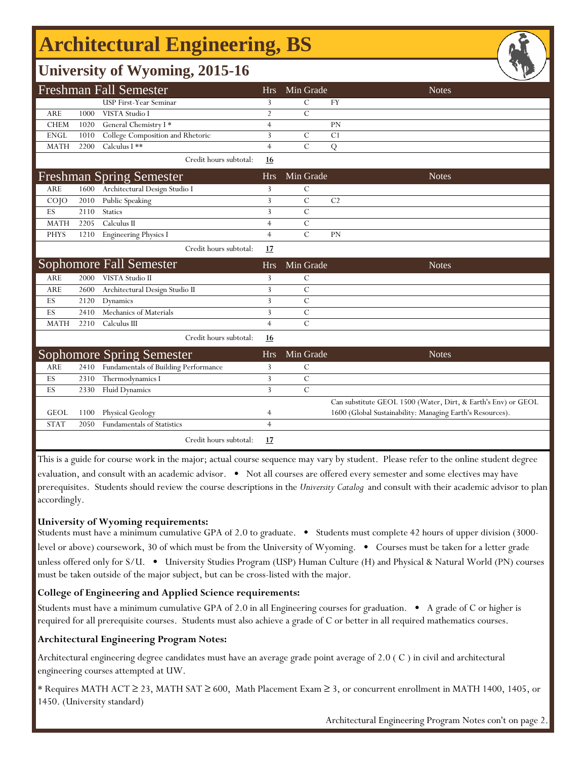## **Architectural Engineering, BS**

### **University of Wyoming, 2015-16**

|             |      | <b>Freshman Fall Semester</b>        | <b>Hrs</b>     | Min Grade      |                | <b>Notes</b>                                                  |
|-------------|------|--------------------------------------|----------------|----------------|----------------|---------------------------------------------------------------|
|             |      | USP First-Year Seminar               | 3              | $\mathcal{C}$  | <b>FY</b>      |                                                               |
| ARE         | 1000 | VISTA Studio I                       | $\overline{2}$ | $\mathcal{C}$  |                |                                                               |
| <b>CHEM</b> | 1020 | General Chemistry I*                 | $\overline{4}$ |                | PN             |                                                               |
| <b>ENGL</b> | 1010 | College Composition and Rhetoric     | 3              | C              | C <sub>1</sub> |                                                               |
| <b>MATH</b> | 2200 | Calculus I **                        | $\overline{4}$ | $\mathcal{C}$  | Q              |                                                               |
|             |      | Credit hours subtotal:               | 16             |                |                |                                                               |
|             |      | <b>Freshman Spring Semester</b>      | <b>Hrs</b>     | Min Grade      |                | <b>Notes</b>                                                  |
| ARE         | 1600 | Architectural Design Studio I        | 3              | C              |                |                                                               |
| $CO$ JO     | 2010 | Public Speaking                      | 3              | $\overline{C}$ | C <sub>2</sub> |                                                               |
| ES          | 2110 | <b>Statics</b>                       | 3              | $\overline{C}$ |                |                                                               |
| <b>MATH</b> | 2205 | Calculus II                          | $\overline{4}$ | $\mathcal{C}$  |                |                                                               |
| <b>PHYS</b> | 1210 | Engineering Physics I                | $\overline{4}$ | $\mathcal{C}$  | PN             |                                                               |
|             |      | Credit hours subtotal:               | 17             |                |                |                                                               |
|             |      | Sophomore Fall Semester              | <b>Hrs</b>     | Min Grade      |                | <b>Notes</b>                                                  |
| ARE         | 2000 | VISTA Studio II                      | 3              | C              |                |                                                               |
| ARE         | 2600 | Architectural Design Studio II       | 3              | $\mathcal{C}$  |                |                                                               |
| ES          | 2120 | Dynamics                             | 3              | $\overline{C}$ |                |                                                               |
| ES          | 2410 | Mechanics of Materials               | 3              | $\mathcal{C}$  |                |                                                               |
| <b>MATH</b> | 2210 | Calculus III                         | $\overline{4}$ | $\overline{C}$ |                |                                                               |
|             |      | Credit hours subtotal:               | <u>16</u>      |                |                |                                                               |
|             |      | <b>Sophomore Spring Semester</b>     | <b>Hrs</b>     | Min Grade      |                | <b>Notes</b>                                                  |
| ARE         | 2410 | Fundamentals of Building Performance | 3              | C              |                |                                                               |
| ES          | 2310 | Thermodynamics I                     | 3              | $\mathcal{C}$  |                |                                                               |
| ES          | 2330 | <b>Fluid Dynamics</b>                | 3              | $\overline{C}$ |                |                                                               |
|             |      |                                      |                |                |                | Can substitute GEOL 1500 (Water, Dirt, & Earth's Env) or GEOL |
| <b>GEOL</b> | 1100 | Physical Geology                     | 4              |                |                | 1600 (Global Sustainability: Managing Earth's Resources).     |
| <b>STAT</b> | 2050 | Fundamentals of Statistics           | $\overline{4}$ |                |                |                                                               |
|             |      | Credit hours subtotal:               | 17             |                |                |                                                               |

This is a guide for course work in the major; actual course sequence may vary by student. Please refer to the online student degree evaluation, and consult with an academic advisor. • Not all courses are offered every semester and some electives may have prerequisites. Students should review the course descriptions in the *University Catalog* and consult with their academic advisor to plan accordingly.

#### **University of Wyoming requirements:**

Students must have a minimum cumulative GPA of 2.0 to graduate. • Students must complete 42 hours of upper division (3000 level or above) coursework, 30 of which must be from the University of Wyoming. • Courses must be taken for a letter grade unless offered only for S/U. • University Studies Program (USP) Human Culture (H) and Physical & Natural World (PN) courses must be taken outside of the major subject, but can be cross-listed with the major.

### **College of Engineering and Applied Science requirements:**

Students must have a minimum cumulative GPA of 2.0 in all Engineering courses for graduation. • A grade of C or higher is required for all prerequisite courses. Students must also achieve a grade of C or better in all required mathematics courses.

### **Architectural Engineering Program Notes:**

Architectural engineering degree candidates must have an average grade point average of 2.0 ( C ) in civil and architectural engineering courses attempted at UW.

\* Requires MATH ACT ≥ 23, MATH SAT ≥ 600, Math Placement Exam ≥ 3, or concurrent enrollment in MATH 1400, 1405, or 1450. (University standard)

Architectural Engineering Program Notes con't on page 2.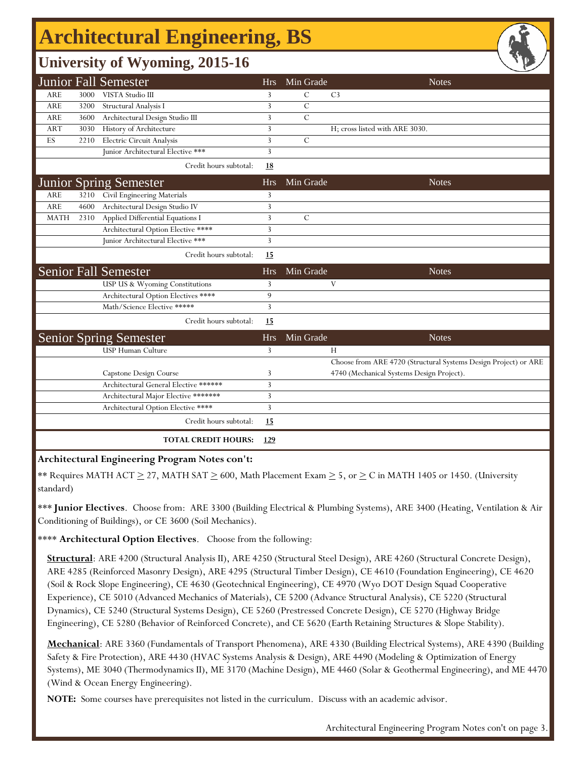# **Architectural Engineering, BS**

## **University of Wyoming, 2015-16**

|             |      | <b>Junior Fall Semester</b>           | <b>Hrs</b> | Min Grade      | <b>Notes</b>                                                    |
|-------------|------|---------------------------------------|------------|----------------|-----------------------------------------------------------------|
| ARE         | 3000 | VISTA Studio III                      | 3          | $\mathcal{C}$  | C <sub>3</sub>                                                  |
| <b>ARE</b>  | 3200 | Structural Analysis I                 | 3          | $\overline{C}$ |                                                                 |
| <b>ARE</b>  | 3600 | Architectural Design Studio III       | 3          | $\overline{C}$ |                                                                 |
| <b>ART</b>  | 3030 | History of Architecture               | 3          |                | H; cross listed with ARE 3030.                                  |
| ES          | 2210 | Electric Circuit Analysis             | 3          | $\mathcal{C}$  |                                                                 |
|             |      | Junior Architectural Elective ***     | 3          |                |                                                                 |
|             |      | Credit hours subtotal:                | <u>18</u>  |                |                                                                 |
|             |      | <b>Junior Spring Semester</b>         | <b>Hrs</b> | Min Grade      | <b>Notes</b>                                                    |
| ARE         | 3210 | Civil Engineering Materials           | 3          |                |                                                                 |
| <b>ARE</b>  | 4600 | Architectural Design Studio IV        | 3          |                |                                                                 |
| <b>MATH</b> | 2310 | Applied Differential Equations I      | 3          | $\mathcal{C}$  |                                                                 |
|             |      | Architectural Option Elective ****    | 3          |                |                                                                 |
|             |      | Junior Architectural Elective ***     | 3          |                |                                                                 |
|             |      | Credit hours subtotal:                | 15         |                |                                                                 |
|             |      | <b>Senior Fall Semester</b>           | <b>Hrs</b> | Min Grade      | <b>Notes</b>                                                    |
|             |      | USP US & Wyoming Constitutions        | 3          |                | V                                                               |
|             |      | Architectural Option Electives ****   | 9          |                |                                                                 |
|             |      | Math/Science Elective *****           | 3          |                |                                                                 |
|             |      | Credit hours subtotal:                | 15         |                |                                                                 |
|             |      | <b>Senior Spring Semester</b>         | <b>Hrs</b> | Min Grade      | <b>Notes</b>                                                    |
|             |      | USP Human Culture                     | 3          |                | H                                                               |
|             |      |                                       |            |                | Choose from ARE 4720 (Structural Systems Design Project) or ARE |
|             |      | Capstone Design Course                | 3          |                | 4740 (Mechanical Systems Design Project).                       |
|             |      | Architectural General Elective ****** | 3          |                |                                                                 |
|             |      | Architectural Major Elective *******  | 3          |                |                                                                 |
|             |      | Architectural Option Elective ****    | 3          |                |                                                                 |
|             |      | Credit hours subtotal:                | 15         |                |                                                                 |
|             |      | <b>TOTAL CREDIT HOURS:</b>            | 129        |                |                                                                 |

#### **Architectural Engineering Program Notes con't:**

\*\* Requires MATH ACT  $\geq$  27, MATH SAT  $\geq$  600, Math Placement Exam  $\geq$  5, or  $\geq$  C in MATH 1405 or 1450. (University standard)

\*\*\* **Junior Electives**. Choose from: ARE 3300 (Building Electrical & Plumbing Systems), ARE 3400 (Heating, Ventilation & Air Conditioning of Buildings), or CE 3600 (Soil Mechanics).

\*\*\*\* **Architectural Option Electives**. Choose from the following:

**Structural**: ARE 4200 (Structural Analysis II), ARE 4250 (Structural Steel Design), ARE 4260 (Structural Concrete Design), ARE 4285 (Reinforced Masonry Design), ARE 4295 (Structural Timber Design), CE 4610 (Foundation Engineering), CE 4620 (Soil & Rock Slope Engineering), CE 4630 (Geotechnical Engineering), CE 4970 (Wyo DOT Design Squad Cooperative Experience), CE 5010 (Advanced Mechanics of Materials), CE 5200 (Advance Structural Analysis), CE 5220 (Structural Dynamics), CE 5240 (Structural Systems Design), CE 5260 (Prestressed Concrete Design), CE 5270 (Highway Bridge Engineering), CE 5280 (Behavior of Reinforced Concrete), and CE 5620 (Earth Retaining Structures & Slope Stability).

**Mechanical**: ARE 3360 (Fundamentals of Transport Phenomena), ARE 4330 (Building Electrical Systems), ARE 4390 (Building Safety & Fire Protection), ARE 4430 (HVAC Systems Analysis & Design), ARE 4490 (Modeling & Optimization of Energy Systems), ME 3040 (Thermodynamics II), ME 3170 (Machine Design), ME 4460 (Solar & Geothermal Engineering), and ME 4470 (Wind & Ocean Energy Engineering).

**NOTE:** Some courses have prerequisites not listed in the curriculum. Discuss with an academic advisor.

Architectural Engineering Program Notes con't on page 3.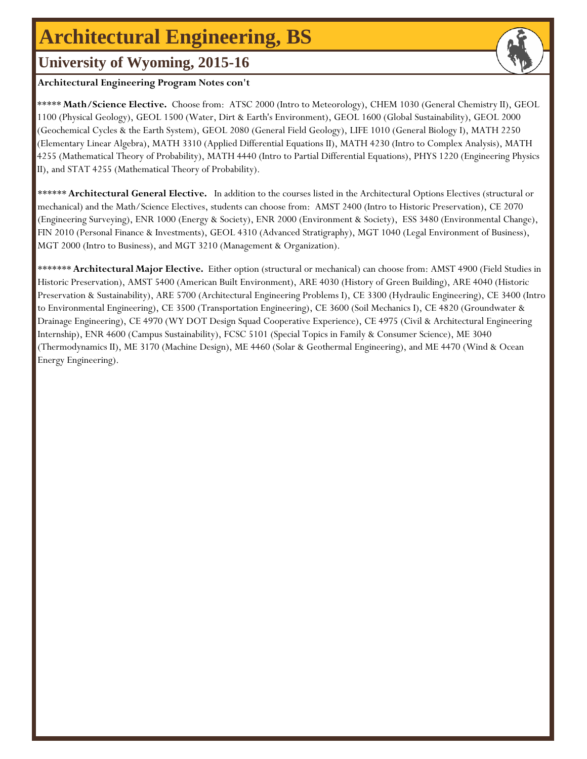## **Architectural Engineering, BS**

## **University of Wyoming, 2015-16**

### **Architectural Engineering Program Notes con't**

\*\*\*\*\***Math/Science Elective.** Choose from: ATSC 2000 (Intro to Meteorology), CHEM 1030 (General Chemistry II), GEOL 1100 (Physical Geology), GEOL 1500 (Water, Dirt & Earth's Environment), GEOL 1600 (Global Sustainability), GEOL 2000 (Geochemical Cycles & the Earth System), GEOL 2080 (General Field Geology), LIFE 1010 (General Biology I), MATH 2250 (Elementary Linear Algebra), MATH 3310 (Applied Differential Equations II), MATH 4230 (Intro to Complex Analysis), MATH 4255 (Mathematical Theory of Probability), MATH 4440 (Intro to Partial Differential Equations), PHYS 1220 (Engineering Physics II), and STAT 4255 (Mathematical Theory of Probability).

\*\*\*\*\*\***Architectural General Elective.** In addition to the courses listed in the Architectural Options Electives (structural or mechanical) and the Math/Science Electives, students can choose from: AMST 2400 (Intro to Historic Preservation), CE 2070 (Engineering Surveying), ENR 1000 (Energy & Society), ENR 2000 (Environment & Society), ESS 3480 (Environmental Change), FIN 2010 (Personal Finance & Investments), GEOL 4310 (Advanced Stratigraphy), MGT 1040 (Legal Environment of Business), MGT 2000 (Intro to Business), and MGT 3210 (Management & Organization).

\*\*\*\*\*\*\***Architectural Major Elective.** Either option (structural or mechanical) can choose from: AMST 4900 (Field Studies in Historic Preservation), AMST 5400 (American Built Environment), ARE 4030 (History of Green Building), ARE 4040 (Historic Preservation & Sustainability), ARE 5700 (Architectural Engineering Problems I), CE 3300 (Hydraulic Engineering), CE 3400 (Intro to Environmental Engineering), CE 3500 (Transportation Engineering), CE 3600 (Soil Mechanics I), CE 4820 (Groundwater & Drainage Engineering), CE 4970 (WY DOT Design Squad Cooperative Experience), CE 4975 (Civil & Architectural Engineering Internship), ENR 4600 (Campus Sustainability), FCSC 5101 (Special Topics in Family & Consumer Science), ME 3040 (Thermodynamics II), ME 3170 (Machine Design), ME 4460 (Solar & Geothermal Engineering), and ME 4470 (Wind & Ocean Energy Engineering).